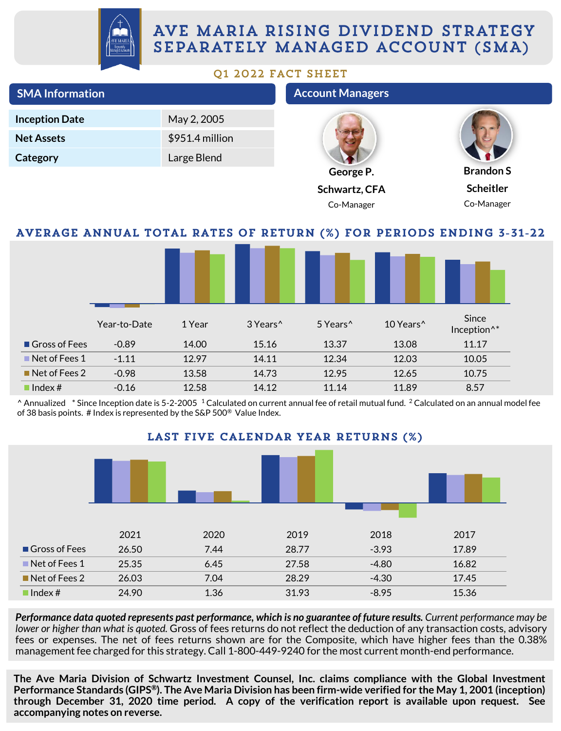

# AVE MARIA RISING DIVIDEND STRATEGY SEPARATELY MANAGED ACCOUNT (SMA)

#### Q1 2022 FACT SHEET

| <b>SMA Information</b>                                                              |              |                 |                      | <b>Account Managers</b> |                                     |                                                                                                                                               |  |
|-------------------------------------------------------------------------------------|--------------|-----------------|----------------------|-------------------------|-------------------------------------|-----------------------------------------------------------------------------------------------------------------------------------------------|--|
| <b>Inception Date</b>                                                               |              | May 2, 2005     |                      |                         |                                     |                                                                                                                                               |  |
| <b>Net Assets</b>                                                                   |              | \$951.4 million |                      |                         |                                     |                                                                                                                                               |  |
| Category                                                                            |              | Large Blend     |                      |                         |                                     |                                                                                                                                               |  |
|                                                                                     |              |                 |                      |                         | George P.                           | <b>Brandon S</b>                                                                                                                              |  |
|                                                                                     |              |                 |                      |                         | Schwartz, CFA                       | <b>Scheitler</b>                                                                                                                              |  |
|                                                                                     |              |                 |                      |                         | Co-Manager                          | Co-Manager                                                                                                                                    |  |
|                                                                                     |              |                 |                      |                         |                                     | AVERAGE ANNUAL TOTAL RATES OF RETURN (%) FOR PERIODS ENDING 3-31-22                                                                           |  |
|                                                                                     |              |                 |                      |                         |                                     |                                                                                                                                               |  |
|                                                                                     | Year-to-Date | 1 Year          | 3 Years <sup>^</sup> | 5 Years <sup>^</sup>    | 10 Years <sup>^</sup>               | Since<br>Inception <sup>^*</sup>                                                                                                              |  |
| Gross of Fees                                                                       | $-0.89$      | 14.00           | 15.16                | 13.37                   | 13.08                               | 11.17                                                                                                                                         |  |
| $\blacksquare$ Net of Fees 1                                                        | $-1.11$      | 12.97           | 14.11                | 12.34                   | 12.03                               | 10.05                                                                                                                                         |  |
| $\blacksquare$ Net of Fees 2                                                        | $-0.98$      | 13.58           | 14.73                | 12.95                   | 12.65                               | 10.75                                                                                                                                         |  |
| $\blacksquare$ Index #                                                              | $-0.16$      | 12.58           | 14.12                | 11.14                   | 11.89                               | 8.57                                                                                                                                          |  |
| of 38 basis points. # Index is represented by the S&P 500 <sup>®</sup> Value Index. |              |                 |                      |                         | LAST FIVE CALENDAR YEAR RETURNS (%) | ^ Annualized * Since Inception date is 5-2-2005 1 Calculated on current annual fee of retail mutual fund. 2 Calculated on an annual model fee |  |
|                                                                                     |              |                 |                      |                         |                                     |                                                                                                                                               |  |



Performance data quoted represents past performance, which is no guarantee of future results. Current performance may be *lower or higher than what is quoted.* Gross of fees returns do not reflect the deduction of any transaction costs, advisory fees or expenses. The net of fees returns shown are for the Composite, which have higher fees than the 0.38% management fee charged for this strategy. Call 1-800-449-9240 for the most current month-end performance.

**The Ave Maria Division of Schwartz Investment Counsel, Inc. claims compliance with the Global Investment** Performance Standards (GIPS®). The Ave Maria Division has been firm-wide verified for the May 1, 2001 (inception) **through December 31, 2020 time period. A copy of the verification report is available upon request. See accompanying notes on reverse.**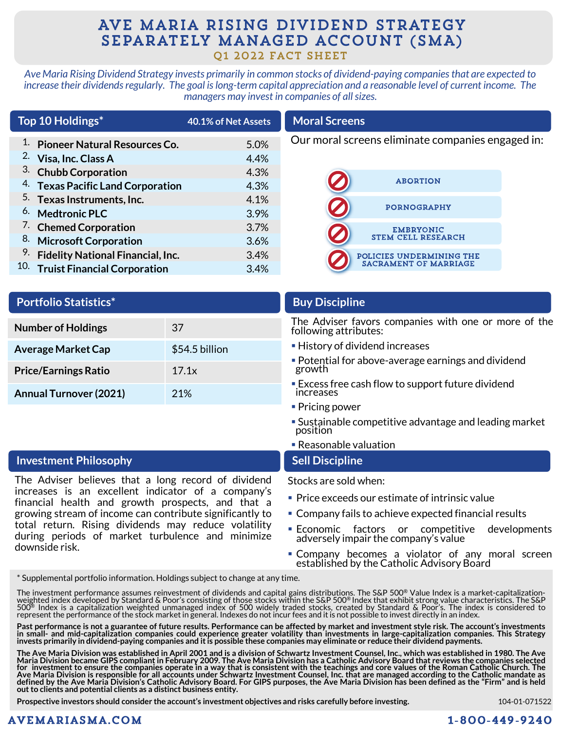## AVE MARIA RISING DIVIDEND STRATEGY SEPARATELY MANAGED ACCOUNT (SMA) Q1 2022 FACT SHEET

*Ave Maria Rising Dividend Strategy invests primarily in common stocks of dividend-paying companies that are expected to increase their dividends regularly. The goal is long-term capital appreciation and a reasonable level of current income. The managers may invest in companies of all sizes.*

| Top 10 Holdings* |                                              | 40.1% of Net Assets | <b>Moral Screens</b>                              |  |  |  |
|------------------|----------------------------------------------|---------------------|---------------------------------------------------|--|--|--|
|                  | <b>Pioneer Natural Resources Co.</b>         | 5.0%                | Our moral screens eliminate companies engaged in: |  |  |  |
| 2.               | Visa, Inc. Class A                           | 4.4%                |                                                   |  |  |  |
|                  | 3. Chubb Corporation                         | 4.3%                |                                                   |  |  |  |
|                  | <sup>4.</sup> Texas Pacific Land Corporation | 4.3%                | <b>ABORTION</b>                                   |  |  |  |
|                  | <sup>5.</sup> Texas Instruments, Inc.        | 4.1%                | <b>PORNOGRAPHY</b>                                |  |  |  |
|                  | <sup>6.</sup> Medtronic PLC                  | 3.9%                |                                                   |  |  |  |
|                  | <sup>7.</sup> Chemed Corporation             | 3.7%                | <b>EMBRYONIC</b>                                  |  |  |  |
|                  | 8. Microsoft Corporation                     | 3.6%                | <b>STEM CELL RESEARCH</b>                         |  |  |  |
| 9.               | <b>Fidelity National Financial, Inc.</b>     | 3.4%                | POLICIES UNDERMINING THE                          |  |  |  |
|                  | 10. Truist Financial Corporation             | 3.4%                | <b>SACRAMENT OF MARRIAGE</b>                      |  |  |  |
|                  |                                              |                     |                                                   |  |  |  |

| <b>Portfolio Statistics*</b>                                                                            |                | <b>Buy Discipline</b>                                                         |  |  |  |  |
|---------------------------------------------------------------------------------------------------------|----------------|-------------------------------------------------------------------------------|--|--|--|--|
| 37<br><b>Number of Holdings</b>                                                                         |                | The Adviser favors companies with one or more of the<br>following attributes: |  |  |  |  |
| <b>Average Market Cap</b>                                                                               | \$54.5 billion | • History of dividend increases                                               |  |  |  |  |
| <b>Price/Earnings Ratio</b><br>17.1x                                                                    |                | • Potential for above-average earnings and dividend<br>growth                 |  |  |  |  |
| <b>Annual Turnover (2021)</b><br>21%                                                                    |                | • Excess free cash flow to support future dividend<br>increases               |  |  |  |  |
|                                                                                                         |                | • Pricing power                                                               |  |  |  |  |
|                                                                                                         |                | • Sustainable competitive advantage and leading market<br>position            |  |  |  |  |
|                                                                                                         |                | • Reasonable valuation                                                        |  |  |  |  |
| <b>Investment Philosophy</b>                                                                            |                | <b>Sell Discipline</b>                                                        |  |  |  |  |
| The Adviser believes that a long record of dividend                                                     |                | Stocks are sold when:                                                         |  |  |  |  |
| increases is an excellent indicator of a company's<br>financial health and growth prospects, and that a |                | • Price exceeds our estimate of intrinsic value                               |  |  |  |  |
| growing stream of income can contribute significantly to                                                |                | • Company fails to achieve expected financial results                         |  |  |  |  |

- Company fails to achieve expected financial results
- Economic factors or competitive developments adversely impair the company's value
- **Company becomes a violator of any moral screen** established by the Catholic Advisory Board

\* Supplemental portfolio information. Holdings subject to change at any time.

total return. Rising dividends may reduce volatility during periods of market turbulence and minimize

The investment performance assumes reinvestment of dividends and capital gains distributions. The S&P 500® Value Index is a market-capitalization-<br>weighted index developed by Standard & Poor's consisting of those stocks wi

Past performance is not a guarantee of future results. Performance can be affected by market and investment style risk. The account's investments<br>in small- and mid-capitalization companies could experience greater volatili

The Ave Maria Division was established in April 2001 and is a division of Schwartz Investment Counsel, Inc., which was established in 1980. The Ave<br>Maria Division became GIPS compliant in February 2009. The Ave Maria Divis

**Prospective investors should consider the account's investment objectives and risks carefully before investing.**

#### AVEMARIASMA.COM

downside risk.

#### 104-01-071522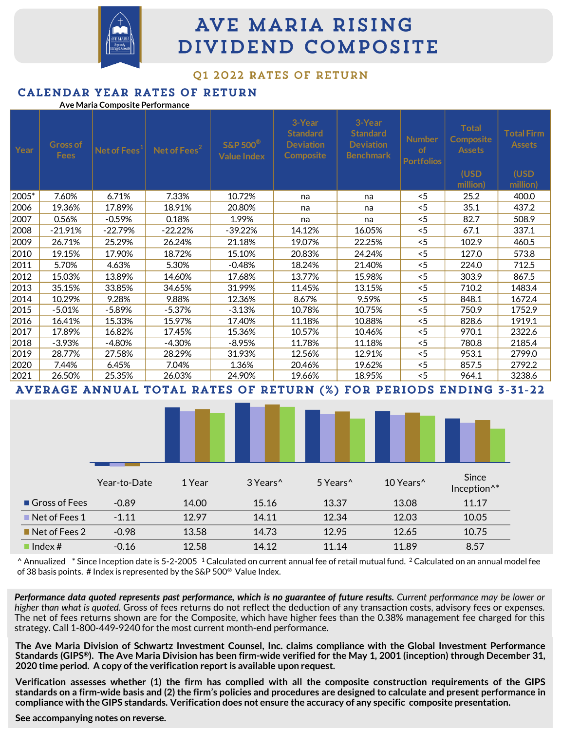

# AVE MARIA RISING DIVIDEND COMPOSITE

#### 01 2022 RATES OF RETURN

|       |                                | Ave Maria Composite Performance | CALLNDAR ILAR RAILS OF REIURN |                                                      |                                                            |                                                                   |                                          |                                                                       |                                                        |
|-------|--------------------------------|---------------------------------|-------------------------------|------------------------------------------------------|------------------------------------------------------------|-------------------------------------------------------------------|------------------------------------------|-----------------------------------------------------------------------|--------------------------------------------------------|
| Year  | <b>Gross of</b><br><b>Fees</b> | Net of Fees <sup>1</sup>        | Net of Fees <sup>2</sup>      | <b>S&amp;P 500<sup>®</sup></b><br><b>Value Index</b> | 3-Year<br><b>Standard</b><br><b>Deviation</b><br>Composite | 3-Year<br><b>Standard</b><br><b>Deviation</b><br><b>Benchmark</b> | <b>Number</b><br>of<br><b>Portfolios</b> | <b>Total</b><br><b>Composite</b><br><b>Assets</b><br>(USD<br>million) | <b>Total Firm</b><br><b>Assets</b><br>(USD<br>million) |
| 2005* | 7.60%                          | 6.71%                           | 7.33%                         | 10.72%                                               | na                                                         | na                                                                | < 5                                      | 25.2                                                                  | 400.0                                                  |
| 2006  | 19.36%                         | 17.89%                          | 18.91%                        | 20.80%                                               | na                                                         | na                                                                | $<$ 5                                    | 35.1                                                                  | 437.2                                                  |
| 2007  | 0.56%                          | $-0.59%$                        | 0.18%                         | 1.99%                                                | na                                                         | na                                                                | < 5                                      | 82.7                                                                  | 508.9                                                  |
| 2008  | $-21.91%$                      | $-22.79%$                       | $-22.22\%$                    | $-39.22\%$                                           | 14.12%                                                     | 16.05%                                                            | < 5                                      | 67.1                                                                  | 337.1                                                  |
| 2009  | 26.71%                         | 25.29%                          | 26.24%                        | 21.18%                                               | 19.07%                                                     | 22.25%                                                            | < 5                                      | 102.9                                                                 | 460.5                                                  |
| 2010  | 19.15%                         | 17.90%                          | 18.72%                        | 15.10%                                               | 20.83%                                                     | 24.24%                                                            | < 5                                      | 127.0                                                                 | 573.8                                                  |
| 2011  | 5.70%                          | 4.63%                           | 5.30%                         | $-0.48%$                                             | 18.24%                                                     | 21.40%                                                            | < 5                                      | 224.0                                                                 | 712.5                                                  |
| 2012  | 15.03%                         | 13.89%                          | 14.60%                        | 17.68%                                               | 13.77%                                                     | 15.98%                                                            | < 5                                      | 303.9                                                                 | 867.5                                                  |
| 2013  | 35.15%                         | 33.85%                          | 34.65%                        | 31.99%                                               | 11.45%                                                     | 13.15%                                                            | < 5                                      | 710.2                                                                 | 1483.4                                                 |
| 2014  | 10.29%                         | 9.28%                           | 9.88%                         | 12.36%                                               | 8.67%                                                      | 9.59%                                                             | < 5                                      | 848.1                                                                 | 1672.4                                                 |
| 2015  | $-5.01%$                       | $-5.89%$                        | $-5.37%$                      | $-3.13%$                                             | 10.78%                                                     | 10.75%                                                            | < 5                                      | 750.9                                                                 | 1752.9                                                 |
| 2016  | 16.41%                         | 15.33%                          | 15.97%                        | 17.40%                                               | 11.18%                                                     | 10.88%                                                            | < 5                                      | 828.6                                                                 | 1919.1                                                 |
| 2017  | 17.89%                         | 16.82%                          | 17.45%                        | 15.36%                                               | 10.57%                                                     | 10.46%                                                            | < 5                                      | 970.1                                                                 | 2322.6                                                 |
| 2018  | $-3.93%$                       | $-4.80%$                        | $-4.30%$                      | $-8.95%$                                             | 11.78%                                                     | 11.18%                                                            | < 5                                      | 780.8                                                                 | 2185.4                                                 |
| 2019  | 28.77%                         | 27.58%                          | 28.29%                        | 31.93%                                               | 12.56%                                                     | 12.91%                                                            | < 5                                      | 953.1                                                                 | 2799.0                                                 |
| 2020  | 7.44%                          | 6.45%                           | 7.04%                         | 1.36%                                                | 20.46%                                                     | 19.62%                                                            | $<$ 5                                    | 857.5                                                                 | 2792.2                                                 |
| 2021  | 26.50%                         | 25.35%                          | 26.03%                        | 24.90%                                               | 19.66%                                                     | 18.95%                                                            | < 5                                      | 964.1                                                                 | 3238.6                                                 |

AVERAGE ANNUAL TOTAL RATES OF RETURN (%) FOR PERIODS ENDING 3-31-22

|                              | Year-to-Date | 1 Year | 3 Years <sup>^</sup> | 5 Years^ | 10 Years^ | Since<br>Inception <sup>^*</sup> |  |
|------------------------------|--------------|--------|----------------------|----------|-----------|----------------------------------|--|
| Gross of Fees                | $-0.89$      | 14.00  | 15.16                | 13.37    | 13.08     | 11.17                            |  |
| $\blacksquare$ Net of Fees 1 | $-1.11$      | 12.97  | 14.11                | 12.34    | 12.03     | 10.05                            |  |
| $\blacksquare$ Net of Fees 2 | $-0.98$      | 13.58  | 14.73                | 12.95    | 12.65     | 10.75                            |  |
| $\blacksquare$ Index #       | $-0.16$      | 12.58  | 14.12                | 11.14    | 11.89     | 8.57                             |  |

 $^{\circ}$  Annualized  $^*$  Since Inception date is 5-2-2005  $^{\circ}$  Calculated on current annual fee of retail mutual fund. <sup>2</sup> Calculated on an annual model fee of 38 basis points. # Index is represented by the S&P 500® Value Index.

Performance data quoted represents past performance, which is no guarantee of future results. Current performance may be lower or *higher than what is quoted.* Gross of fees returns do not reflect the deduction of any transaction costs, advisory fees or expenses. The net of fees returns shown are for the Composite, which have higher fees than the 0.38% management fee charged for this strategy. Call 1-800-449-9240 for the most current month-end performance.

The Ave Maria Division of Schwartz Investment Counsel, Inc. claims compliance with the Global Investment Performance Standards (GIPS®). The Ave Maria Division has been firm-wide verified for the May 1, 2001 (inception) through December 31, **2020 time period. A copy ofthe verification report is available upon request.**

Verification assesses whether (1) the firm has complied with all the composite construction requirements of the GIPS standards on a firm-wide basis and (2) the firm's policies and procedures are designed to calculate and present performance in compliance with the GIPS standards. Verification does not ensure the accuracy of any specific composite presentation.

**See accompanying notes on reverse.**